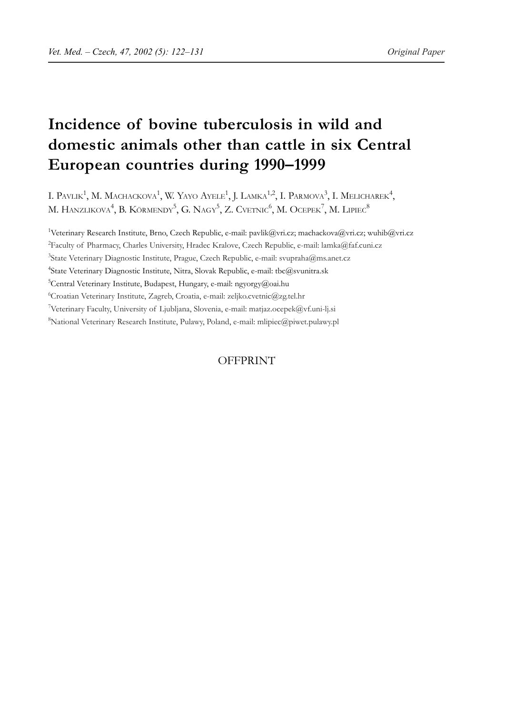# **Incidence of bovine tuberculosis in wild and domestic animals other than cattle in six Central European countries during 1990–1999**

I. PAVLIK<sup>1</sup>, M. MACHACKOVA<sup>1</sup>, W. YAYO AYELE<sup>1</sup>, J. LAMKA<sup>1,2</sup>, I. PARMOVA<sup>3</sup>, I. MELICHAREK<sup>4</sup>, M. HANZLIKOVA $^4,$  B. KÖRMENDY $^5,$  G. NAGY $^5,$  Z. Cvetnic $^6,$  M. Ocepek $^7,$  M. Lipiec $^8$ 

<sup>1</sup>Veterinary Research Institute, Brno, Czech Republic, e-mail: pavlik@vri.cz; machackova@vri.cz; wuhib@vri.cz <sup>2</sup> Faculty of Pharmacy, Charles University, Hradec Kralove, Czech Republic, e-mail: lamka@faf.cuni.cz <sup>3</sup>State Veterinary Diagnostic Institute, Prague, Czech Republic, e-mail: svupraha@ms.anet.cz 4 State Veterinary Diagnostic Institute, Nitra, Slovak Republic, e-mail: tbc@svunitra.sk <sup>5</sup>Central Veterinary Institute, Budapest, Hungary, e-mail: ngyorgy@oai.hu 6 Croatian Veterinary Institute, Zagreb, Croatia, e-mail: zeljko.cvetnic@zg.tel.hr <sup>7</sup>Veterinary Faculty, University of Ljubljana, Slovenia, e-mail: matjaz.ocepek@vf.uni-lj.si 8 National Veterinary Research Institute, Pulawy, Poland, e-mail: mlipiec@piwet.pulawy.pl

# OFFPRINT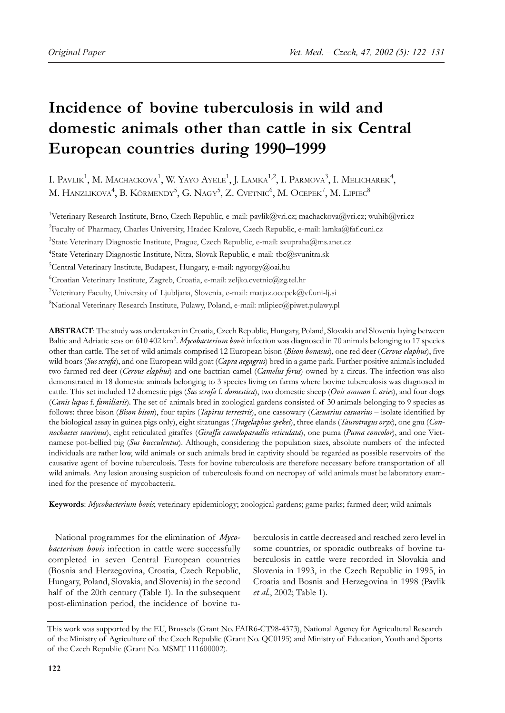# **Incidence of bovine tuberculosis in wild and domestic animals other than cattle in six Central European countries during 1990–1999**

I. PAVLIK<sup>1</sup>, M. MACHACKOVA<sup>1</sup>, W. YAYO AYELE<sup>1</sup>, J. LAMKA<sup>1,2</sup>, I. PARMOVA<sup>3</sup>, I. MELICHAREK<sup>4</sup>, M. HANZLIKOVA $^4$ , B. KÖRMENDY $^5$ , G. NAGY $^5$ , Z. Cvetnic $^6$ , M. Ocepek $^7$ , M. Lipiec $^8$ 

<sup>1</sup>Veterinary Research Institute, Brno, Czech Republic, e-mail: pavlik@vri.cz; machackova@vri.cz; wuhib@vri.cz <sup>2</sup> Faculty of Pharmacy, Charles University, Hradec Kralove, Czech Republic, e-mail: lamka@faf.cuni.cz <sup>3</sup>State Veterinary Diagnostic Institute, Prague, Czech Republic, e-mail: svupraha@ms.anet.cz 4 State Veterinary Diagnostic Institute, Nitra, Slovak Republic, e-mail: tbc@svunitra.sk 5 Central Veterinary Institute, Budapest, Hungary, e-mail: ngyorgy@oai.hu 6 Croatian Veterinary Institute, Zagreb, Croatia, e-mail: zeljko.cvetnic@zg.tel.hr <sup>7</sup>Veterinary Faculty, University of Ljubljana, Slovenia, e-mail: matjaz.ocepek@vf.uni-lj.si 8 National Veterinary Research Institute, Pulawy, Poland, e-mail: mlipiec@piwet.pulawy.pl

**ABSTRACT**: The study was undertaken in Croatia, Czech Republic, Hungary, Poland, Slovakia and Slovenia laying between Baltic and Adriatic seas on 610 402 km<sup>2</sup>. *Mycobacterium bovis* infection was diagnosed in 70 animals belonging to 17 species other than cattle. The set of wild animals comprised 12 European bison (*Bison bonasus*), one red deer (*Cervus elaphus*), five wild boars (*Sus scrofa*), and one European wild goat (*Capra aegagrus*) bred in a game park. Further positive animals included two farmed red deer (*Cervus elaphus*) and one bactrian camel (*Camelus ferus*) owned by a circus. The infection was also demonstrated in 18 domestic animals belonging to 3 species living on farms where bovine tuberculosis was diagnosed in cattle. This set included 12 domestic pigs (*Sus scrofa* f. *domestica*), two domestic sheep (*Ovis ammon* f. *aries*), and four dogs (*Canis lupus* f. *familiaris*). The set of animals bred in zoological gardens consisted of 30 animals belonging to 9 species as follows: three bison (*Bison bison*), four tapirs (*Tapirus terrestris*), one cassowary (*Casuarius casuarius* – isolate identified by the biological assay in guinea pigs only), eight sitatungas (*Tragelaphus spekei*), three elands (*Taurotragus oryx*), one gnu (*Connochaetes taurinus*), eight reticulated giraffes (*Giraffa cameloparadlis reticulata*), one puma (*Puma concolor*), and one Vietnamese pot-bellied pig (*Sus bucculentus*). Although, considering the population sizes, absolute numbers of the infected individuals are rather low, wild animals or such animals bred in captivity should be regarded as possible reservoirs of the causative agent of bovine tuberculosis. Tests for bovine tuberculosis are therefore necessary before transportation of all wild animals. Any lesion arousing suspicion of tuberculosis found on necropsy of wild animals must be laboratory examined for the presence of mycobacteria.

**Keywords**: *Mycobacterium bovis*; veterinary epidemiology; zoological gardens; game parks; farmed deer; wild animals

National programmes for the elimination of *Mycobacterium bovis* infection in cattle were successfully completed in seven Central European countries (Bosnia and Herzegovina, Croatia, Czech Republic, Hungary, Poland, Slovakia, and Slovenia) in the second half of the 20th century (Table 1). In the subsequent post-elimination period, the incidence of bovine tu-

berculosis in cattle decreased and reached zero level in some countries, or sporadic outbreaks of bovine tuberculosis in cattle were recorded in Slovakia and Slovenia in 1993, in the Czech Republic in 1995, in Croatia and Bosnia and Herzegovina in 1998 (Pavlik *et al*., 2002; Table 1).

This work was supported by the EU, Brussels (Grant No. FAIR6-CT98-4373), National Agency for Agricultural Research of the Ministry of Agriculture of the Czech Republic (Grant No. QC0195) and Ministry of Education, Youth and Sports of the Czech Republic (Grant No. MSMT 111600002).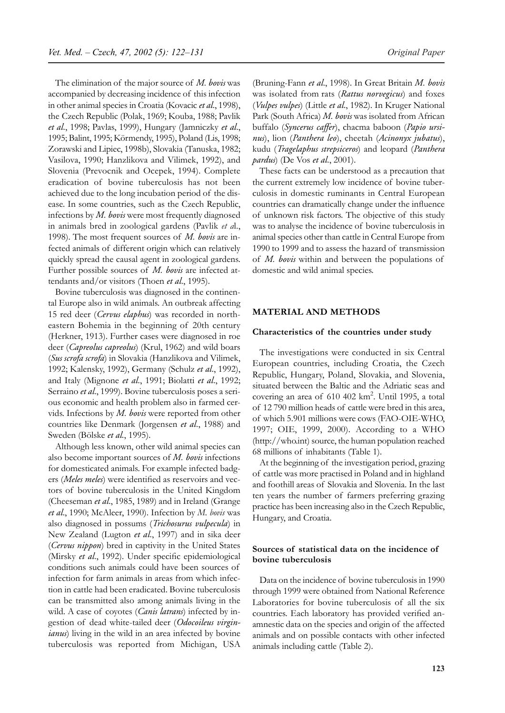The elimination of the major source of *M. bovis* was accompanied by decreasing incidence of this infection in other animal species in Croatia (Kovacic *et al*., 1998), the Czech Republic (Polak, 1969; Kouba, 1988; Pavlik *et al*., 1998; Pavlas, 1999), Hungary (Jamniczky *et al*., 1995; Balint, 1995; Körmendy, 1995), Poland (Lis, 1998; Zorawski and Lipiec, 1998b), Slovakia (Tanuska, 1982; Vasilova, 1990; Hanzlikova and Vilimek, 1992), and Slovenia (Prevocnik and Ocepek, 1994). Complete eradication of bovine tuberculosis has not been achieved due to the long incubation period of the disease. In some countries, such as the Czech Republic, infections by *M. bovis* were most frequently diagnosed in animals bred in zoological gardens (Pavlik *et a*l., 1998). The most frequent sources of *M. bovis* are infected animals of different origin which can relatively quickly spread the causal agent in zoological gardens. Further possible sources of *M. bovis* are infected attendants and/or visitors (Thoen *et al*., 1995).

Bovine tuberculosis was diagnosed in the continental Europe also in wild animals. An outbreak affecting 15 red deer (*Cervus elaphus*) was recorded in northeastern Bohemia in the beginning of 20th century (Herkner, 1913). Further cases were diagnosed in roe deer (*Capreolus capreolus*) (Krul, 1962) and wild boars (*Sus scrofa scrofa*) in Slovakia (Hanzlikova and Vilimek, 1992; Kalensky, 1992), Germany (Schulz *et al*., 1992), and Italy (Mignone *et al*., 1991; Biolatti *et al*., 1992; Serraino *et al*., 1999). Bovine tuberculosis poses a serious economic and health problem also in farmed cervids. Infections by *M. bovis* were reported from other countries like Denmark (Jorgensen *et al*., 1988) and Sweden (Bölske *et al.*, 1995).

Although less known, other wild animal species can also become important sources of *M. bovis* infections for domesticated animals. For example infected badgers (*Meles meles*) were identified as reservoirs and vectors of bovine tuberculosis in the United Kingdom (Cheeseman *et al*., 1985, 1989) and in Ireland (Grange *et al*., 1990; McAleer, 1990). Infection by *M. bovis* was also diagnosed in possums (*Trichosurus vulpecula*) in New Zealand (Lugton *et al*., 1997) and in sika deer (*Cervus nippon*) bred in captivity in the United States (Mirsky *et al*., 1992). Under specific epidemiological conditions such animals could have been sources of infection for farm animals in areas from which infection in cattle had been eradicated. Bovine tuberculosis can be transmitted also among animals living in the wild. A case of coyotes (*Canis latrans*) infected by ingestion of dead white-tailed deer (*Odocoileus virginianus*) living in the wild in an area infected by bovine tuberculosis was reported from Michigan, USA

(Bruning-Fann *et al*., 1998). In Great Britain *M. bovis* was isolated from rats (*Rattus norvegicus*) and foxes (*Vulpes vulpes*) (Little *et al*., 1982). In Kruger National Park (South Africa) *M. bovis* was isolated from African buffalo (*Syncerus caffer*), chacma baboon (*Papio ursinus*), lion (*Panthera leo*), cheetah (*Acinonyx jubatus*), kudu (*Tragelaphus strepsiceros*) and leopard (*Panthera pardus*) (De Vos *et al*., 2001).

These facts can be understood as a precaution that the current extremely low incidence of bovine tuberculosis in domestic ruminants in Central European countries can dramatically change under the influence of unknown risk factors. The objective of this study was to analyse the incidence of bovine tuberculosis in animal species other than cattle in Central Europe from 1990 to 1999 and to assess the hazard of transmission of *M. bovis* within and between the populations of domestic and wild animal species.

## **MATERIAL AND METHODS**

#### **Characteristics of the countries under study**

The investigations were conducted in six Central European countries, including Croatia, the Czech Republic, Hungary, Poland, Slovakia, and Slovenia, situated between the Baltic and the Adriatic seas and covering an area of 610 402 km<sup>2</sup>. Until 1995, a total of 12 790 million heads of cattle were bred in this area, of which 5.901 millions were cows (FAO-OIE-WHO, 1997; OIE, 1999, 2000). According to a WHO (http://who.int) source, the human population reached 68 millions of inhabitants (Table 1).

At the beginning of the investigation period, grazing of cattle was more practised in Poland and in highland and foothill areas of Slovakia and Slovenia. In the last ten years the number of farmers preferring grazing practice has been increasing also in the Czech Republic, Hungary, and Croatia.

# **Sources of statistical data on the incidence of bovine tuberculosis**

Data on the incidence of bovine tuberculosis in 1990 through 1999 were obtained from National Reference Laboratories for bovine tuberculosis of all the six countries. Each laboratory has provided verified anamnestic data on the species and origin of the affected animals and on possible contacts with other infected animals including cattle (Table 2).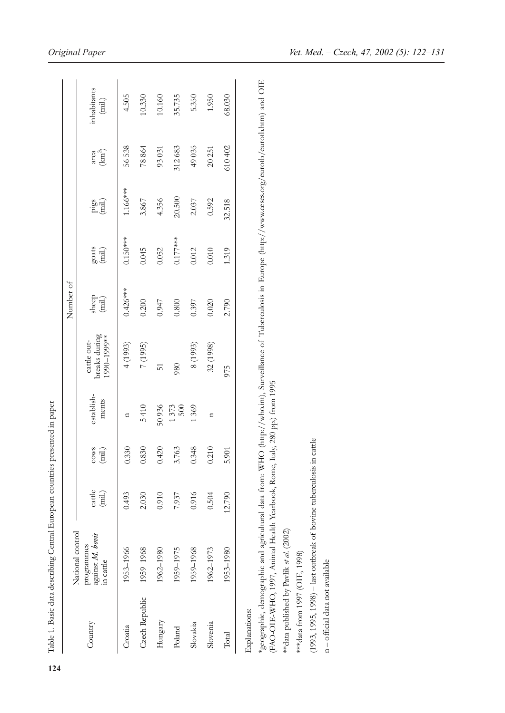|                | National control                            |                        |                                                          |                     |                                             | Number of                                                    |                                                             |                |                                    |                                |
|----------------|---------------------------------------------|------------------------|----------------------------------------------------------|---------------------|---------------------------------------------|--------------------------------------------------------------|-------------------------------------------------------------|----------------|------------------------------------|--------------------------------|
| Country        | against M. bovis<br>programmes<br>in cattle | cattle<br>$(\dot{m}l)$ | $\begin{array}{c} {\rm cov}s\\ {\rm (mil.)} \end{array}$ | establish-<br>ments | oreaks during<br>1990-1999**<br>cattle out- | $\begin{array}{c} \text{sheep} \\ \text{(mil.)} \end{array}$ | $\begin{array}{c} \text{gouts}\\ \text{(mil.)} \end{array}$ | pigs<br>(mil.) | area $\langle\mathrm{km}^2\rangle$ | inhabitants<br>$(\mbox{mil.})$ |
| Croatia        | 1953-1966                                   | 0.493                  | 0.330                                                    | n                   | 4(1993)                                     | $0.426***$                                                   | $0.150***$                                                  | $1.166***$     | 56 538                             | 4.505                          |
| Czech Republic | 1959-1968                                   | 2.030                  | 0.830                                                    | 5410                | 7 (1995)                                    | 0.200                                                        | 0.045                                                       | 3.867          | 78864                              | 10.330                         |
| Hungary        | 1962-1980                                   | 0.910                  | 0.420                                                    | 50936               | 51                                          | 0.947                                                        | 0.052                                                       | 4.356          | 93031                              | 10.160                         |
| Poland         | 1959-1975                                   | 7.937                  | 763<br>.<br>ب                                            | 1373<br>500         | 980                                         | 0.800                                                        | $0.177***$                                                  | 20.500         | 312683                             | 35.735                         |
| Slovakia       | 1959-1968                                   | 0.916                  | 0.348                                                    | 1369                | 8 (1993)                                    | 0.397                                                        | 0.012                                                       | 2.037          | 49035                              | 5.350                          |
| Slovenia       | 1962-1973                                   | 0.504                  | 0.210                                                    | Ξ                   | 32 (1998)                                   | 0.020                                                        | 0.010                                                       | 0.592          | 20 251                             | 1.950                          |
| Total          | 1953-1980                                   | 12.790                 | 5.901                                                    |                     | 975                                         | 2.790                                                        | 1.319                                                       | 32.518         | 610 402                            | 68.030                         |

\*geographic, demographic and agricultural data from: WHO (http://who.int), Surveillance of Tuberculosis in Europe (http://www.ceses.org/eurotb/eurotb.htm) and OIE \*geographic, demographic and agricultural data from: WHO (http://who.int), Surveillance of Tuberculosis in Europe (http://www.ceses.org/eurotb/eurotb.htm) and OIE (FAO-OIE-WHO, 1997, Animal Health Yearbook, Rome, Italy, 280 pp.) from 1995 (FAO-OIE-WHO, 1997, Animal Health Yearbook, Rome, Italy, 280 pp.) from 1995

\*\* data published by Pavlik et al. (2002) \*\*data published by Pavlik *et al*. (2002)

\*\*\*<br/>data from 1997 (OIE, 1998) \*\*\*data from 1997 (OIE, 1998)

 $(1993, 1995, 1998)$  – last outbreak of bovine tuberculosis in cattle (1993, 1995, 1998) – last outbreak of bovine tuberculosis in cattle

n - official data not available – official data not available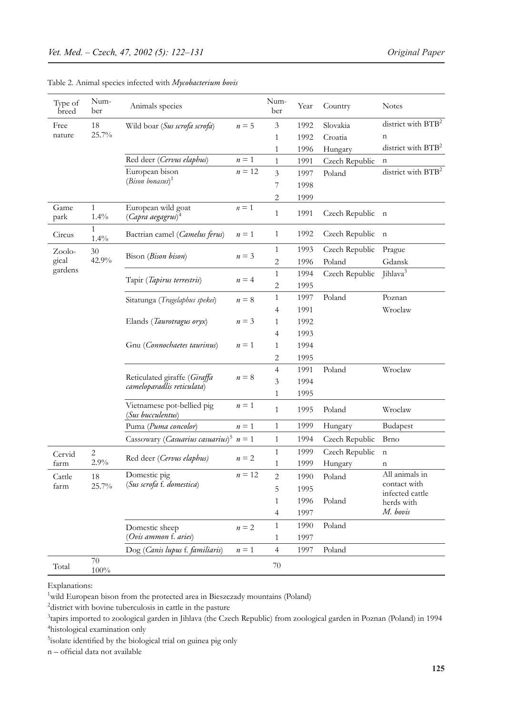| Type of<br>breed | Num-<br>ber          | Animals species                                            |             | Num-<br>ber    | Year | Country        | <b>Notes</b>                    |
|------------------|----------------------|------------------------------------------------------------|-------------|----------------|------|----------------|---------------------------------|
| Free             | 18                   | Wild boar (Sus scrofa scrofa)                              | $n = 5$     | 3              | 1992 | Slovakia       | district with BTB <sup>2</sup>  |
| nature           | 25.7%                |                                                            |             | $\mathbf{1}$   | 1992 | Croatia        | $\mathbf n$                     |
|                  |                      |                                                            |             | 1              | 1996 | Hungary        | district with BTB <sup>2</sup>  |
|                  |                      | Red deer (Cervus elaphus)                                  | $n\equiv 1$ | 1              | 1991 | Czech Republic | n                               |
|                  |                      | European bison                                             | $n = 12$    | 3              | 1997 | Poland         | district with BTB <sup>2</sup>  |
|                  |                      | $(Bison\; bonus)^1$                                        |             | 7              | 1998 |                |                                 |
|                  |                      |                                                            |             | 2              | 1999 |                |                                 |
| Game<br>park     | $\mathbf{1}$<br>1.4% | European wild goat<br>$(Capra \ aegagrus)^4$               | $n=1$       | $\mathbf{1}$   | 1991 | Czech Republic | $\mathbf n$                     |
| Circus           | $\mathbf{1}$<br>1.4% | Bactrian camel (Camelus ferus)                             | $n=1$       | $\mathbf{1}$   | 1992 | Czech Republic | $\mathbf n$                     |
| Zoolo-           | 30                   |                                                            | $n = 3$     | $\mathbf{1}$   | 1993 | Czech Republic | Prague                          |
| gical            | 42.9%                | Bison (Bison bison)                                        |             | 2              | 1996 | Poland         | Gdansk                          |
| gardens          |                      |                                                            |             | $\mathbf{1}$   | 1994 | Czech Republic | Jihlava <sup>3</sup>            |
|                  |                      | Tapir (Tapirus terrestris)                                 | $n = 4$     | 2              | 1995 |                |                                 |
|                  |                      | Sitatunga (Tragelaphus spekei)                             | $n = 8$     | $\mathbf{1}$   | 1997 | Poland         | Poznan                          |
|                  |                      |                                                            |             | 4              | 1991 |                | Wroclaw                         |
|                  |                      | Elands (Taurotragus oryx)                                  | $n = 3$     | $\mathbf{1}$   | 1992 |                |                                 |
|                  |                      |                                                            |             | 4              | 1993 |                |                                 |
|                  |                      | Gnu (Connochaetes taurinus)                                | $n=1$       | 1              | 1994 |                |                                 |
|                  |                      |                                                            |             | 2              | 1995 |                |                                 |
|                  |                      |                                                            |             | 4              | 1991 | Poland         | Wroclaw                         |
|                  |                      | Reticulated giraffe (Giraffa<br>cameloparadlis reticulata) | $n = 8$     | 3              | 1994 |                |                                 |
|                  |                      |                                                            |             | 1              | 1995 |                |                                 |
|                  |                      | Vietnamese pot-bellied pig<br>(Sus bucculentus)            | $n=1$       | $\mathbf{1}$   | 1995 | Poland         | Wroclaw                         |
|                  |                      | Puma (Puma concolor)                                       | $n=1$       | $\mathbf{1}$   | 1999 | Hungary        | Budapest                        |
|                  |                      | Cassowary (Casuarius casuarius) <sup>5</sup>               | $n=1$       | $\mathbf{1}$   | 1994 | Czech Republic | <b>Brno</b>                     |
| Cervid           | $\sqrt{2}$           |                                                            |             | $\mathbf{1}$   | 1999 | Czech Republic | $\mathbf n$                     |
| farm             | 2.9%                 | Red deer (Cervus elaphus)                                  | $n=2$       | 1              | 1999 | Hungary        | n                               |
| Cattle           | 18                   | Domestic pig                                               | $n = 12$    | $\overline{c}$ | 1990 | Poland         | All animals in                  |
| farm             | 25.7%                | (Sus scrofa f. domestica)                                  |             | 5              | 1995 |                | contact with<br>infected cattle |
|                  |                      |                                                            |             | 1              | 1996 | Poland         | herds with                      |
|                  |                      |                                                            |             | 4              | 1997 |                | M. bovis                        |
|                  |                      | Domestic sheep                                             | $n=2$       | $\mathbf{1}$   | 1990 | Poland         |                                 |
|                  |                      | (Ovis ammon f. aries)                                      |             | $\mathbf{1}$   | 1997 |                |                                 |
|                  |                      | Dog (Canis lupus f. familiaris)                            | $n=1$       | $\overline{4}$ | 1997 | Poland         |                                 |
| Total            | 70<br>$100\%$        |                                                            |             | 70             |      |                |                                 |

| Table 2. Animal species infected with Mycobacterium bovis |  |  |  |  |  |  |  |  |  |  |
|-----------------------------------------------------------|--|--|--|--|--|--|--|--|--|--|
|-----------------------------------------------------------|--|--|--|--|--|--|--|--|--|--|

Explanations:

<sup>1</sup> wild European bison from the protected area in Bieszczady mountains (Poland)<sup>2</sup> district with boying tuberculosis in cattle in the pasture

<sup>2</sup> district with bovine tuberculosis in cattle in the pasture

<sup>3</sup>tapirs imported to zoological garden in Jihlava (the Czech Republic) from zoological garden in Poznan (Poland) in 1994 4 histological examination only

<sup>5</sup>isolate identified by the biological trial on guinea pig only

n – official data not available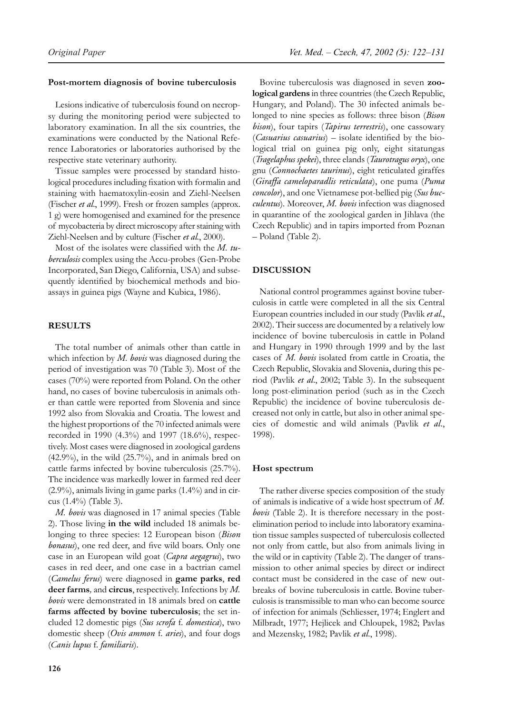# **Post-mortem diagnosis of bovine tuberculosis**

Lesions indicative of tuberculosis found on necropsy during the monitoring period were subjected to laboratory examination. In all the six countries, the examinations were conducted by the National Reference Laboratories or laboratories authorised by the respective state veterinary authority.

Tissue samples were processed by standard histological procedures including fixation with formalin and staining with haematoxylin-eosin and Ziehl-Neelsen (Fischer *et al*., 1999). Fresh or frozen samples (approx. 1 g) were homogenised and examined for the presence of mycobacteria by direct microscopy after staining with Ziehl-Neelsen and by culture (Fischer *et al.*, 2000).

Most of the isolates were classified with the *M. tuberculosis* complex using the Accu-probes (Gen-Probe Incorporated, San Diego, California, USA) and subsequently identified by biochemical methods and bioassays in guinea pigs (Wayne and Kubica, 1986).

## **RESULTS**

The total number of animals other than cattle in which infection by *M. bovis* was diagnosed during the period of investigation was 70 (Table 3). Most of the cases (70%) were reported from Poland. On the other hand, no cases of bovine tuberculosis in animals other than cattle were reported from Slovenia and since 1992 also from Slovakia and Croatia. The lowest and the highest proportions of the 70 infected animals were recorded in 1990 (4.3%) and 1997 (18.6%), respectively. Most cases were diagnosed in zoological gardens (42.9%), in the wild (25.7%), and in animals bred on cattle farms infected by bovine tuberculosis (25.7%). The incidence was markedly lower in farmed red deer (2.9%), animals living in game parks (1.4%) and in circus (1.4%) (Table 3).

*M. bovis* was diagnosed in 17 animal species (Table 2). Those living **in the wild** included 18 animals belonging to three species: 12 European bison (*Bison bonasus*), one red deer, and five wild boars. Only one case in an European wild goat (*Capra aegagrus*), two cases in red deer, and one case in a bactrian camel (*Camelus ferus*) were diagnosed in **game parks**, **red deer farms***,* and **circus**, respectively. Infections by *M. bovis* were demonstrated in 18 animals bred on **cattle farms affected by bovine tuberculosis**; the set included 12 domestic pigs (*Sus scrofa* f*. domestica*), two domestic sheep (*Ovis ammon* f*. aries*), and four dogs (*Canis lupus* f. *familiaris*).

Bovine tuberculosis was diagnosed in seven **zoological gardens** in three countries (the Czech Republic, Hungary, and Poland). The 30 infected animals belonged to nine species as follows: three bison (*Bison bison*), four tapirs (*Tapirus terrestris*), one cassowary (*Casuarius casuarius*) – isolate identified by the biological trial on guinea pig only, eight sitatungas (*Tragelaphus spekei*), three elands (*Taurotragus oryx*), one gnu (*Connochaetes taurinus*), eight reticulated giraffes (*Giraffa cameloparadlis reticulata*), one puma (*Puma concolor*), and one Vietnamese pot-bellied pig (*Sus bucculentus*). Moreover, *M. bovis* infection was diagnosed in quarantine of the zoological garden in Jihlava (the Czech Republic) and in tapirs imported from Poznan – Poland (Table 2).

# **DISCUSSION**

National control programmes against bovine tuberculosis in cattle were completed in all the six Central European countries included in our study (Pavlik *et al*., 2002). Their success are documented by a relatively low incidence of bovine tuberculosis in cattle in Poland and Hungary in 1990 through 1999 and by the last cases of *M. bovis* isolated from cattle in Croatia, the Czech Republic, Slovakia and Slovenia, during this period (Pavlik *et al*., 2002; Table 3). In the subsequent long post-elimination period (such as in the Czech Republic) the incidence of bovine tuberculosis decreased not only in cattle, but also in other animal species of domestic and wild animals (Pavlik *et al*., 1998).

#### **Host spectrum**

The rather diverse species composition of the study of animals is indicative of a wide host spectrum of *M. bovis* (Table 2). It is therefore necessary in the postelimination period to include into laboratory examination tissue samples suspected of tuberculosis collected not only from cattle, but also from animals living in the wild or in captivity (Table 2). The danger of transmission to other animal species by direct or indirect contact must be considered in the case of new outbreaks of bovine tuberculosis in cattle. Bovine tuberculosis is transmissible to man who can become source of infection for animals (Schliesser, 1974; Englert and Milbradt, 1977; Hejlicek and Chloupek, 1982; Pavlas and Mezensky, 1982; Pavlik *et al*., 1998).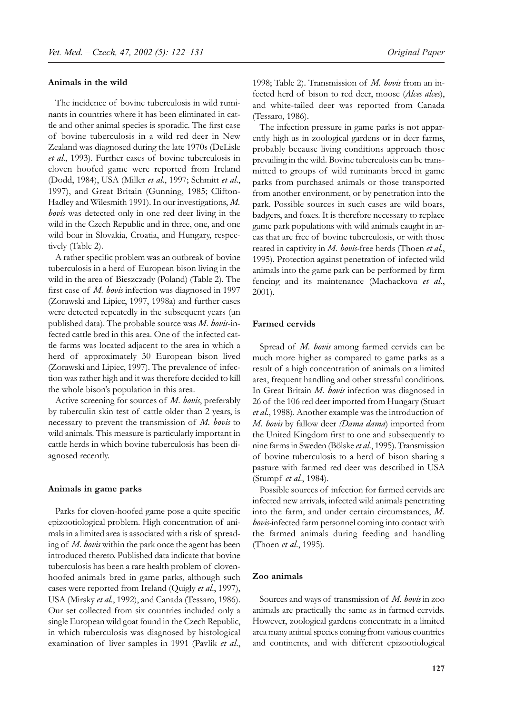#### **Animals in the wild**

The incidence of bovine tuberculosis in wild ruminants in countries where it has been eliminated in cattle and other animal species is sporadic. The first case of bovine tuberculosis in a wild red deer in New Zealand was diagnosed during the late 1970s (DeLisle *et al*., 1993). Further cases of bovine tuberculosis in cloven hoofed game were reported from Ireland (Dodd, 1984), USA (Miller *et al*., 1997; Schmitt *et al*., 1997), and Great Britain (Gunning, 1985; Clifton-Hadley and Wilesmith 1991). In our investigations, *M. bovis* was detected only in one red deer living in the wild in the Czech Republic and in three, one, and one wild boar in Slovakia, Croatia, and Hungary, respectively (Table 2).

A rather specific problem was an outbreak of bovine tuberculosis in a herd of European bison living in the wild in the area of Bieszczady (Poland) (Table 2). The first case of *M. bovis* infection was diagnosed in 1997 (Zorawski and Lipiec, 1997, 1998a) and further cases were detected repeatedly in the subsequent years (un published data). The probable source was *M. bovis*-infected cattle bred in this area. One of the infected cattle farms was located adjacent to the area in which a herd of approximately 30 European bison lived (Zorawski and Lipiec, 1997). The prevalence of infection was rather high and it was therefore decided to kill the whole bison's population in this area.

Active screening for sources of *M. bovis*, preferably by tuberculin skin test of cattle older than 2 years, is necessary to prevent the transmission of *M. bovis* to wild animals. This measure is particularly important in cattle herds in which bovine tuberculosis has been diagnosed recently.

#### **Animals in game parks**

Parks for cloven-hoofed game pose a quite specific epizootiological problem. High concentration of animals in a limited area is associated with a risk of spreading of *M. bovis* within the park once the agent has been introduced thereto. Published data indicate that bovine tuberculosis has been a rare health problem of clovenhoofed animals bred in game parks, although such cases were reported from Ireland (Quigly *et al*., 1997), USA (Mirsky *et al*., 1992), and Canada (Tessaro, 1986). Our set collected from six countries included only a single European wild goat found in the Czech Republic, in which tuberculosis was diagnosed by histological examination of liver samples in 1991 (Pavlik *et al*., 1998; Table 2). Transmission of *M. bovis* from an infected herd of bison to red deer, moose (*Alces alces*), and white-tailed deer was reported from Canada (Tessaro, 1986).

The infection pressure in game parks is not apparently high as in zoological gardens or in deer farms, probably because living conditions approach those prevailing in the wild. Bovine tuberculosis can be transmitted to groups of wild ruminants breed in game parks from purchased animals or those transported from another environment, or by penetration into the park. Possible sources in such cases are wild boars, badgers, and foxes. It is therefore necessary to replace game park populations with wild animals caught in areas that are free of bovine tuberculosis, or with those reared in captivity in *M. bovis-*free herds (Thoen *et al*., 1995). Protection against penetration of infected wild animals into the game park can be performed by firm fencing and its maintenance (Machackova *et al*., 2001).

#### **Farmed cervids**

Spread of *M. bovis* among farmed cervids can be much more higher as compared to game parks as a result of a high concentration of animals on a limited area, frequent handling and other stressful conditions. In Great Britain *M. bovis* infection was diagnosed in 26 of the 106 red deer imported from Hungary (Stuart *et al*., 1988). Another example was the introduction of *M. bovis* by fallow deer *(Dama dama*) imported from the United Kingdom first to one and subsequently to nine farms in Sweden (Bölske *et al*., 1995). Transmission of bovine tuberculosis to a herd of bison sharing a pasture with farmed red deer was described in USA (Stumpf *et al*., 1984).

Possible sources of infection for farmed cervids are infected new arrivals, infected wild animals penetrating into the farm, and under certain circumstances, *M. bovis-*infected farm personnel coming into contact with the farmed animals during feeding and handling (Thoen *et al*., 1995).

#### **Zoo animals**

Sources and ways of transmission of *M. bovis* in zoo animals are practically the same as in farmed cervids. However, zoological gardens concentrate in a limited area many animal species coming from various countries and continents, and with different epizootiological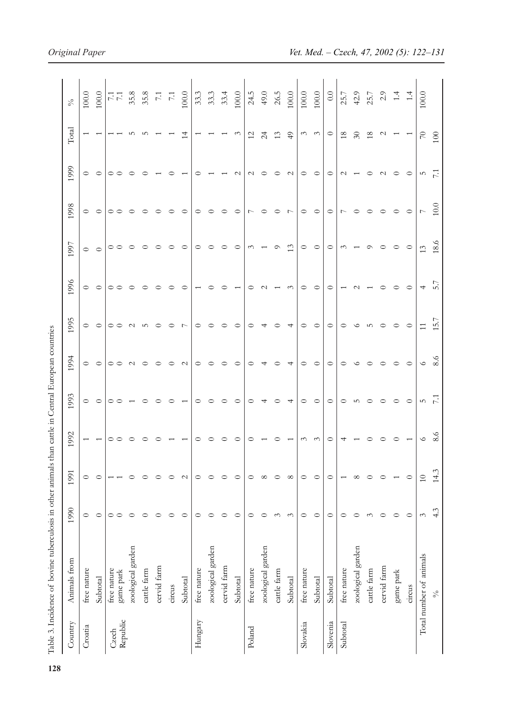|          | Table 3. Incidence of bovine tuberculosis in other animals the |                    |               |          | an cattle in Central European countries |                   |                |          |            |                  |                 |                 |                  |
|----------|----------------------------------------------------------------|--------------------|---------------|----------|-----------------------------------------|-------------------|----------------|----------|------------|------------------|-----------------|-----------------|------------------|
| Country  | Animals from                                                   | 1990               | 1991          | 1992     | 1993                                    | 1994              | 1995           | 1996     | 1997       | 1998             | 1999            | Total           | $\delta_{\rm O}$ |
| Croatia  | free nature                                                    | $\circ$            | $\circ$       |          | 0                                       | $\circ$           | $\circ$        | $\circ$  | $\circ$    | $\circ$          | $\circ$         |                 | $100.0$          |
|          | Subtotal                                                       | $\circ$            | $\circ$       |          | ○                                       | $\circ$           | $\circ$        | $\circ$  | $\circ$    | $\circ$          | $\circ$         |                 | $100.0$          |
| Czech    | free nature                                                    | $\circ$<br>$\circ$ |               |          |                                         | $\circ$           | $\circ$        | $\circ$  | $\circ$    | $\circ$          | $\circ$         |                 | $\frac{17}{11}$  |
| Republic | zoological garden<br>game park                                 | $\circ$            | $\circ$       |          |                                         | $\sim$            | $\sim$         | $\circ$  | $\circ$    | $\circ$          | $\circ$         | ഗ               | 35.8             |
|          | cattle farm                                                    | $\circ$            | $\circ$       |          |                                         | $\circ$           | 5              | $\circ$  | ○          | $\circ$          | ⊂               | ம               |                  |
|          | cervid farm                                                    | $\circ$            | $\circ$       |          |                                         | $\circ$           | $\circ$        |          | $\circ$    | $\circ$          |                 |                 |                  |
|          | circus                                                         | $\circ$            | $\circ$       |          |                                         | $\circ$           | ○              |          | $\circ$    | $\circ$          | ⊂               |                 | $35.8$<br>7.1    |
|          | Subtotal                                                       | $\circ$            | $\mathcal{L}$ |          |                                         | $\mathbf{\Omega}$ | $\overline{ }$ |          | $\circ$    | $\circ$          |                 | $\overline{14}$ | $100.0$          |
| Hungary  | free nature                                                    | $\circ$            | $\circ$       |          |                                         | ○                 | ○              |          | $\circ$    | $\circ$          | ⊂               |                 | 33.3             |
|          | zoological garden                                              | $\circ$            | $\circ$       |          |                                         |                   |                |          | $\circ$    | ○                |                 |                 | 33.3             |
|          | cervid farm                                                    | $\circ$            | $\circ$       |          |                                         |                   |                |          | ○          | ○                |                 |                 | 33.4             |
|          | Subtotal                                                       | $\circ$            | $\circ$       |          |                                         | $\circ$           | $\circ$        |          | $\circ$    | $\circ$          | $\sim$          | $\omega$        | $100.0$          |
| Poland   | free nature                                                    | $\circ$            | $\circ$       |          |                                         | ○                 | ○              |          | $\omega$   | $\overline{ }$   | $\sim$          | $\frac{2}{3}$   | 24.5             |
|          | zoological garden                                              | $\circ$            | $\infty$      |          |                                         |                   |                |          |            | $\circ$          | $\circ$         | $\overline{c}$  | 49.0             |
|          | cattle farm                                                    | $\tilde{\zeta}$    | $\circ$       |          |                                         |                   |                |          | $\circ$    | $\circ$          | $\circ$         | 13              | $26.5\,$         |
|          | Subtotal                                                       | $\tilde{\epsilon}$ | $\infty$      |          |                                         | 4                 | 4              | $\omega$ | 13         | $\overline{r}$   | $\sim$          | $\overline{4}$  | 100.0            |
| Slovakia | free nature                                                    | $\circ$            | $\circ$       | $\sim$   | ○                                       | ○                 | $\circ$        | 0        | $\circ$    | $\circ$          | $\circ$         | $\epsilon$      | $100.0$          |
|          | Subtotal                                                       | $\circ$            | $\circ$       | $\omega$ | $\circ$                                 | $\circ$           | $\circ$        | $\circ$  | $\circ$    | $\circ$          | $\circ$         | $\omega$        | $100.0$          |
| Slovenia | Subtotal                                                       | $\circ$            | $\circ$       | ⊂        | ○                                       | $\circ$           | $\circ$        | ○        | $\circ$    | $\circ$          | $\circ$         | $\circ$         | 0.0              |
| Subtotal | free nature                                                    | $\circ$            |               |          | 0                                       | 0                 | $\circ$        |          | $\epsilon$ | $\overline{ }$   | $\sim$          | 18              | 25.7             |
|          | zoological garden                                              | $\circ$            | $\infty$      |          | ഗ                                       | ◡                 | ◡              |          |            | ⊂                |                 | $\Im$           | 42.9             |
|          | cattle farm                                                    | $\tilde{\zeta}$    | $\circ$       |          |                                         |                   | S              |          | $\circ$    | $\circ$          | $\circ$         | 18              | 25.7             |
|          | cervid farm                                                    | $\circ$            | $\circ$       |          | ○                                       | $\circ$           |                |          | ○          | $\circ$          | $\sim$          | $\mathcal{L}$   | $2.9$<br>1.4     |
|          | game park                                                      | $\circ$            |               |          | ○                                       | $\circ$           |                |          | $\circ$    | $\circ$          | $\circ$         |                 |                  |
|          | circus                                                         | $\circ$            | $\circ$       |          | $\circ$                                 | $\circ$           | $\circ$        |          | $\circ$    | $\circ$          | $\circ$         |                 | 1.4              |
|          | Total number of animals                                        | $\tilde{\epsilon}$ | $10$          | $\circ$  | LO.                                     | $\circ$           | 11             | 4        | 13         | $\overline{ }$   | rU              | $\overline{70}$ | $100.0$          |
|          | $\mathcal{S}_{\mathsf{O}}$                                     | 4.3                | 14.3          | 8.6      |                                         | 8.6               | 5.7            | 5.7      | 18.6       | $\overline{0.0}$ | $\overline{71}$ | 100             |                  |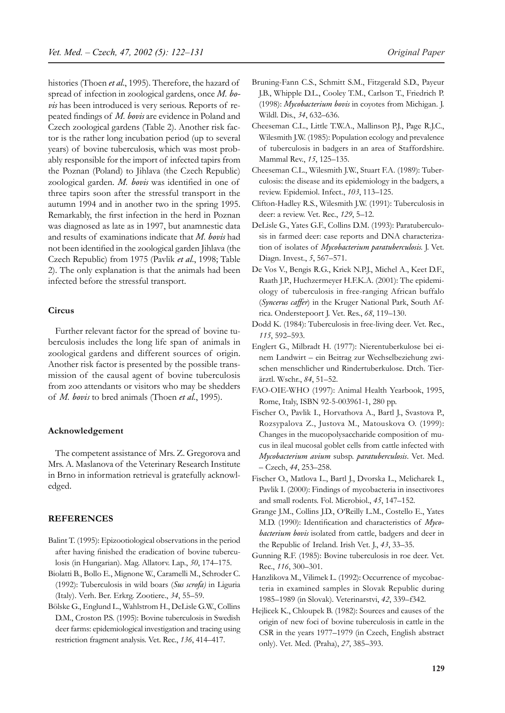histories (Thoen *et al*., 1995). Therefore, the hazard of spread of infection in zoological gardens, once *M. bovis* has been introduced is very serious. Reports of repeated findings of *M. bovis* are evidence in Poland and Czech zoological gardens (Table 2). Another risk factor is the rather long incubation period (up to several years) of bovine tuberculosis, which was most probably responsible for the import of infected tapirs from the Poznan (Poland) to Jihlava (the Czech Republic) zoological garden. *M. bovis* was identified in one of three tapirs soon after the stressful transport in the autumn 1994 and in another two in the spring 1995. Remarkably, the first infection in the herd in Poznan was diagnosed as late as in 1997, but anamnestic data and results of examinations indicate that *M. bovis* had not been identified in the zoological garden Jihlava (the Czech Republic) from 1975 (Pavlik *et al*., 1998; Table 2). The only explanation is that the animals had been infected before the stressful transport.

#### **Circus**

Further relevant factor for the spread of bovine tuberculosis includes the long life span of animals in zoological gardens and different sources of origin. Another risk factor is presented by the possible transmission of the causal agent of bovine tuberculosis from zoo attendants or visitors who may be shedders of *M. bovis* to bred animals (Thoen *et al*., 1995).

#### **Acknowledgement**

The competent assistance of Mrs. Z. Gregorova and Mrs. A. Maslanova of the Veterinary Research Institute in Brno in information retrieval is gratefully acknowledged.

# **REFERENCES**

- Balint T. (1995): Epizootiological observations in the period after having finished the eradication of bovine tuberculosis (in Hungarian). Mag. Allatorv. Lap., *50*, 174–175.
- Biolatti B., Bollo E., Mignone W., Caramelli M., Schroder C. (1992): Tuberculosis in wild boars (*Sus scrofa)* in Liguria (Italy). Verh. Ber. Erkrg. Zootiere., *34*, 55–59.
- Bölske G., Englund L., Wahlstrom H., DeLisle G.W., Collins D.M., Croston P.S. (1995): Bovine tuberculosis in Swedish deer farms: epidemiological investigation and tracing using restriction fragment analysis. Vet. Rec., *136*, 414–417.
- Bruning-Fann C.S., Schmitt S.M., Fitzgerald S.D., Payeur J.B., Whipple D.L., Cooley T.M., Carlson T., Friedrich P. (1998): *Mycobacterium bovis* in coyotes from Michigan. J. Wildl. Dis., *34*, 632–636.
- Cheeseman C.L., Little T.W.A., Mallinson P.J., Page R.J.C., Wilesmith J.W. (1985): Population ecology and prevalence of tuberculosis in badgers in an area of Staffordshire. Mammal Rev., *15*, 125–135.
- Cheeseman C.L., Wilesmith J.W., Stuart F.A. (1989): Tuberculosis: the disease and its epidemiology in the badgers, a review. Epidemiol. Infect., *103*, 113–125.
- Clifton-Hadley R.S., Wilesmith J.W. (1991): Tuberculosis in deer: a review. Vet. Rec., *129*, 5–12.
- DeLisle G., Yates G.F., Collins D.M. (1993): Paratuberculosis in farmed deer: case reports and DNA characterization of isolates of *Mycobacterium paratuberculosis.* J. Vet. Diagn. Invest., *5*, 567–571.
- De Vos V., Bengis R.G., Kriek N.P.J., Michel A., Keet D.F., Raath J.P., Huchzermeyer H.F.K.A. (2001): The epidemiology of tuberculosis in free-ranging African buffalo (*Syncerus caffer*) in the Kruger National Park, South Africa. Onderstepoort J. Vet. Res., *68*, 119–130.
- Dodd K. (1984): Tuberculosis in free-living deer. Vet. Rec., *115*, 592–593.
- Englert G., Milbradt H. (1977): Nierentuberkulose bei einem Landwirt – ein Beitrag zur Wechselbeziehung zwischen menschlicher und Rindertuberkulose. Dtch. Tierärztl. Wschr., *84*, 51–52.
- FAO-OIE-WHO (1997): Animal Health Yearbook, 1995, Rome, Italy, ISBN 92-5-003961-1, 280 pp.
- Fischer O., Pavlik I., Horvathova A., Bartl J., Svastova P., Rozsypalova Z., Justova M., Matouskova O. (1999): Changes in the mucopolysaccharide composition of mucus in ileal mucosal goblet cells from cattle infected with *Mycobacterium avium* subsp. *paratuberculosis*. Vet. Med. – Czech, *44*, 253–258.
- Fischer O., Matlova L., Bartl J., Dvorska L., Melicharek I., Pavlik I. (2000): Findings of mycobacteria in insectivores and small rodents. Fol. Microbiol., *45*, 147–152.
- Grange J.M., Collins J.D., O'Reilly L.M., Costello E., Yates M.D. (1990): Identification and characteristics of *Mycobacterium bovis* isolated from cattle, badgers and deer in the Republic of Ireland. Irish Vet. J., *43*, 33–35.
- Gunning R.F. (1985): Bovine tuberculosis in roe deer. Vet. Rec., *116*, 300–301.
- Hanzlikova M., Vilimek L. (1992): Occurrence of mycobacteria in examined samples in Slovak Republic during 1985–1989 (in Slovak). Veterinarstvi, *42*, 339–f342.
- Hejlicek K., Chloupek B. (1982): Sources and causes of the origin of new foci of bovine tuberculosis in cattle in the CSR in the years 1977–1979 (in Czech, English abstract only). Vet. Med. (Praha), *27*, 385–393.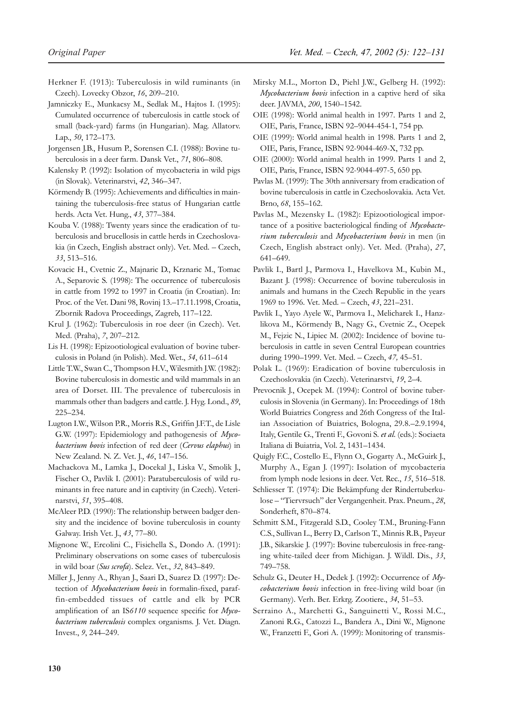- Herkner F. (1913): Tuberculosis in wild ruminants (in Czech). Lovecky Obzor, *16*, 209–210.
- Jamniczky E., Munkacsy M., Sedlak M., Hajtos I. (1995): Cumulated occurrence of tuberculosis in cattle stock of small (back-yard) farms (in Hungarian). Mag. Allatorv. Lap., *50*, 172–173.
- Jorgensen J.B., Husum P., Sorensen C.I. (1988): Bovine tuberculosis in a deer farm. Dansk Vet., *71*, 806–808.
- Kalensky P. (1992): Isolation of mycobacteria in wild pigs (in Slovak). Veterinarstvi, *42*, 346–347.
- Körmendy B. (1995): Achievements and difficulties in maintaining the tuberculosis-free status of Hungarian cattle herds. Acta Vet. Hung., *43*, 377–384.
- Kouba V. (1988): Twenty years since the eradication of tuberculosis and brucellosis in cattle herds in Czechoslovakia (in Czech, English abstract only). Vet. Med. – Czech, *33*, 513–516.
- Kovacic H., Cvetnic Z., Majnaric D., Krznaric M., Tomac A., Separovic S. (1998): The occurrence of tuberculosis in cattle from 1992 to 1997 in Croatia (in Croatian). In: Proc. of the Vet. Dani 98, Rovinj 13.–17.11.1998, Croatia, Zbornik Radova Proceedings, Zagreb, 117–122.
- Krul J. (1962): Tuberculosis in roe deer (in Czech). Vet. Med. (Praha), *7*, 207–212.
- Lis H. (1998): Epizootiological evaluation of bovine tuberculosis in Poland (in Polish). Med. Wet., *54*, 611–614
- Little T.W., Swan C., Thompson H.V., Wilesmith J.W. (1982): Bovine tuberculosis in domestic and wild mammals in an area of Dorset. III. The prevalence of tuberculosis in mammals other than badgers and cattle. J. Hyg. Lond., *89*, 225–234.
- Lugton I.W., Wilson P.R., Morris R.S., Griffin J.F.T., de Lisle G.W. (1997): Epidemiology and pathogenesis of *Mycobacterium bovis* infection of red deer (*Cervus elaphus*) in New Zealand. N. Z. Vet. J., *46*, 147–156.
- Machackova M., Lamka J., Docekal J., Liska V., Smolik J., Fischer O., Pavlik I. (2001): Paratuberculosis of wild ruminants in free nature and in captivity (in Czech). Veterinarstvi, *51*, 395–408.
- McAleer P.D. (1990): The relationship between badger density and the incidence of bovine tuberculosis in county Galway. Irish Vet. J., *43*, 77–80.
- Mignone W., Ercolini C., Fisichella S., Dondo A. (1991): Preliminary observations on some cases of tuberculosis in wild boar (*Sus scrofa*). Selez. Vet., *32*, 843–849.
- Miller J., Jenny A., Rhyan J., Saari D., Suarez D. (1997): Detection of *Mycobacterium bovis* in formalin-fixed, paraffin-embedded tissues of cattle and elk by PCR amplification of an IS*6110* sequence specific for *Mycobacterium tuberculosis* complex organisms. J. Vet. Diagn. Invest., *9*, 244–249.
- Mirsky M.L., Morton D., Piehl J.W., Gelberg H. (1992): *Mycobacterium bovis* infection in a captive herd of sika deer. JAVMA, *200*, 1540–1542.
- OIE (1998): World animal health in 1997. Parts 1 and 2, OIE, Paris, France, ISBN 92–9044-454-1, 754 pp.
- OIE (1999): World animal health in 1998. Parts 1 and 2, OIE, Paris, France, ISBN 92-9044-469-X, 732 pp.
- OIE (2000): World animal health in 1999. Parts 1 and 2, OIE, Paris, France, ISBN 92-9044-497-5, 650 pp.
- Pavlas M. (1999): The 30th anniversary from eradication of bovine tuberculosis in cattle in Czechoslovakia. Acta Vet. Brno, *68*, 155–162.
- Pavlas M., Mezensky L. (1982): Epizootiological importance of a positive bacteriological finding of *Mycobacterium tuberculosis* and *Mycobacterium bovis* in men (in Czech, English abstract only). Vet. Med. (Praha), *27*, 641–649.
- Pavlik I., Bartl J., Parmova I., Havelkova M., Kubin M., Bazant J. (1998): Occurrence of bovine tuberculosis in animals and humans in the Czech Republic in the years 1969 to 1996. Vet. Med. – Czech, *43*, 221–231.
- Pavlik I., Yayo Ayele W., Parmova I., Melicharek I., Hanzlikova M., Körmendy B., Nagy G., Cvetnic Z., Ocepek M., Fejzic N., Lipiec M. (2002): Incidence of bovine tuberculosis in cattle in seven Central European countries during 1990–1999. Vet. Med. – Czech, *47,* 45–51.
- Polak L. (1969): Eradication of bovine tuberculosis in Czechoslovakia (in Czech). Veterinarstvi, *19*, 2–4.
- Prevocnik J., Ocepek M. (1994): Control of bovine tuberculosis in Slovenia (in Germany). In: Proceedings of 18th World Buiatrics Congress and 26th Congress of the Italian Association of Buiatrics, Bologna, 29.8.–2.9.1994, Italy, Gentile G., Trenti F., Govoni S. *et al*. (eds.): Sociaeta Italiana di Buiatria, Vol. 2, 1431–1434.
- Quigly F.C., Costello E., Flynn O., Gogarty A., McGuirk J., Murphy A., Egan J. (1997): Isolation of mycobacteria from lymph node lesions in deer. Vet. Rec., *15*, 516–518.
- Schliesser T. (1974): Die Bekämpfung der Rindertuberkulose – "Tiervrsuch" der Vergangenheit. Prax. Pneum., *28*, Sonderheft, 870–874.
- Schmitt S.M., Fitzgerald S.D., Cooley T.M., Bruning-Fann C.S., Sullivan L., Berry D., Carlson T., Minnis R.B., Payeur J.B., Sikarskie J. (1997): Bovine tuberculosis in free-ranging white-tailed deer from Michigan. J. Wildl. Dis., *33*, 749–758.
- Schulz G., Deuter H., Dedek J. (1992): Occurrence of *Mycobacterium bovis* infection in free-living wild boar (in Germany). Verh. Ber. Erkrg. Zootiere., *34*, 51–53.
- Serraino A., Marchetti G., Sanguinetti V., Rossi M.C., Zanoni R.G., Catozzi L., Bandera A., Dini W., Mignone W., Franzetti F., Gori A. (1999): Monitoring of transmis-